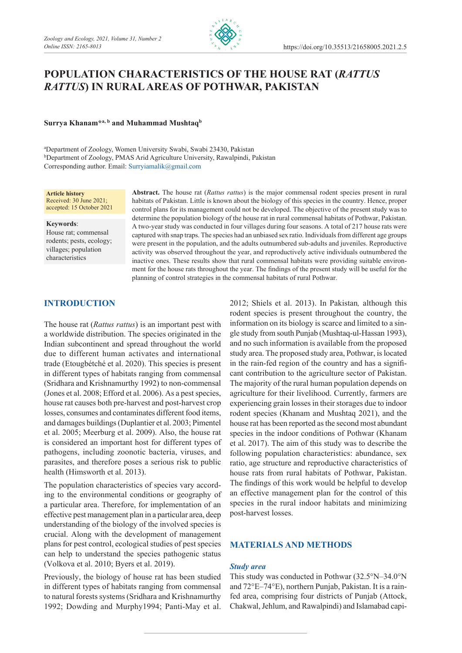

# **Population characteristics of the house rat (***Rattus rattus***) in rural areas of Pothwar, Pakistan**

**Surrya Khanam\*a, b and Muhammad Mushtaqb**

a Department of Zoology, Women University Swabi, Swabi 23430, Pakistan b Department of Zoology, PMAS Arid Agriculture University, Rawalpindi, Pakistan Corresponding author. Email: [Surryiamalik@gmail.com](mailto:Surryiamalik@gmail.com)

#### **Article history** Received: 30 June 2021; accepted: 15 October 2021

#### **Keywords**:

House rat; commensal rodents; pests, ecology; villages; population characteristics

**Abstract.** The house rat (*Rattus rattus*) is the major commensal rodent species present in rural habitats of Pakistan. Little is known about the biology of this species in the country. Hence, proper control plans for its management could not be developed. The objective of the present study was to determine the population biology of the house rat in rural commensal habitats of Pothwar, Pakistan. A two-year study was conducted in four villages during four seasons. A total of 217 house rats were captured with snap traps. The species had an unbiased sex ratio. Individuals from different age groups were present in the population, and the adults outnumbered sub-adults and juveniles. Reproductive activity was observed throughout the year, and reproductively active individuals outnumbered the inactive ones. These results show that rural commensal habitats were providing suitable environment for the house rats throughout the year. The findings of the present study will be useful for the planning of control strategies in the commensal habitats of rural Pothwar.

# **Introduction**

The house rat (*Rattus rattus*) is an important pest with a worldwide distribution. The species originated in the Indian subcontinent and spread throughout the world due to different human activates and international trade (Etougbétché et al. 2020). This species is present in different types of habitats ranging from commensal (Sridhara and Krishnamurthy 1992) to non-commensal (Jones et al. 2008; Efford et al. 2006). As a pest species, house rat causes both pre-harvest and post-harvest crop losses, consumes and contaminates different food items, and damages buildings (Duplantier et al. 2003; Pimentel et al. 2005; Meerburg et al. 2009). Also, the house rat is considered an important host for different types of pathogens, including zoonotic bacteria, viruses, and parasites, and therefore poses a serious risk to public health (Himsworth et al. 2013).

The population characteristics of species vary according to the environmental conditions or geography of a particular area. Therefore, for implementation of an effective pest management plan in a particular area, deep understanding of the biology of the involved species is crucial. Along with the development of management plans for pest control, ecological studies of pest species can help to understand the species pathogenic status (Volkova et al. 2010; Byers et al. 2019).

Previously, the biology of house rat has been studied in different types of habitats ranging from commensal to natural forests systems (Sridhara and Krishnamurthy 1992; Dowding and Murphy1994; Panti-May et al. 2012; Shiels et al. 2013). In Pakistan*,* although this rodent species is present throughout the country, the information on its biology is scarce and limited to a single study from south Punjab (Mushtaq-ul-Hassan 1993), and no such information is available from the proposed study area. The proposed study area, Pothwar, is located in the rain-fed region of the country and has a significant contribution to the agriculture sector of Pakistan. The majority of the rural human population depends on agriculture for their livelihood. Currently, farmers are experiencing grain losses in their storages due to indoor rodent species (Khanam and Mushtaq 2021), and the house rat has been reported as the second most abundant species in the indoor conditions of Pothwar (Khanam et al. 2017). The aim of this study was to describe the following population characteristics: abundance, sex ratio, age structure and reproductive characteristics of house rats from rural habitats of Pothwar, Pakistan. The findings of this work would be helpful to develop an effective management plan for the control of this species in the rural indoor habitats and minimizing post-harvest losses.

# **Materials and methods**

## *Study area*

This study was conducted in Pothwar (32.5°N–34.0°N and 72°E–74°E), northern Punjab, Pakistan. It is a rainfed area, comprising four districts of Punjab (Attock, Chakwal, Jehlum, and Rawalpindi) and Islamabad capi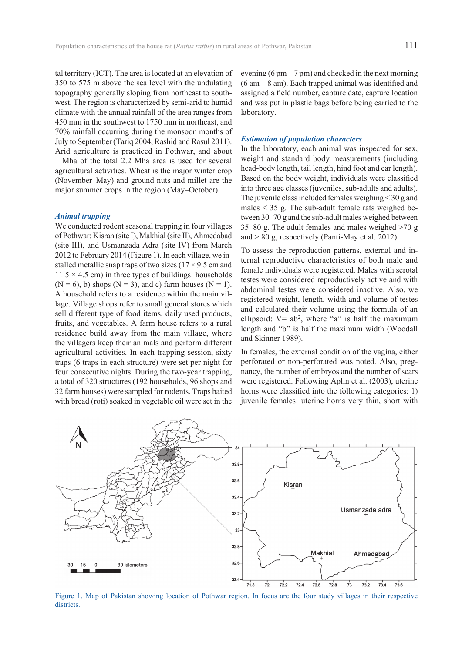tal territory (ICT). The area is located at an elevation of 350 to 575 m above the sea level with the undulating topography generally sloping from northeast to southwest. The region is characterized by semi-arid to humid climate with the annual rainfall of the area ranges from 450 mm in the southwest to 1750 mm in northeast, and 70% rainfall occurring during the monsoon months of July to September (Tariq 2004; Rashid and Rasul 2011). Arid agriculture is practiced in Pothwar, and about 1 Mha of the total 2.2 Mha area is used for several agricultural activities. Wheat is the major winter crop (November–May) and ground nuts and millet are the major summer crops in the region (May–October).

## *Animal trapping*

We conducted rodent seasonal trapping in four villages of Pothwar: Kisran (site I), Makhial (site II), Ahmedabad (site III), and Usmanzada Adra (site IV) from March 2012 to February 2014 (Figure 1). In each village, we installed metallic snap traps of two sizes  $(17 \times 9.5 \text{ cm and})$  $11.5 \times 4.5$  cm) in three types of buildings: households  $(N = 6)$ , b) shops  $(N = 3)$ , and c) farm houses  $(N = 1)$ . A household refers to a residence within the main village. Village shops refer to small general stores which sell different type of food items, daily used products, fruits, and vegetables. A farm house refers to a rural residence build away from the main village, where the villagers keep their animals and perform different agricultural activities. In each trapping session, sixty traps (6 traps in each structure) were set per night for four consecutive nights. During the two-year trapping, a total of 320 structures (192 households, 96 shops and 32 farm houses) were sampled for rodents. Traps baited with bread (roti) soaked in vegetable oil were set in the evening  $(6 \text{ pm} - 7 \text{ pm})$  and checked in the next morning (6 am – 8 am). Each trapped animal was identified and assigned a field number, capture date, capture location and was put in plastic bags before being carried to the laboratory.

## *Estimation of population characters*

In the laboratory, each animal was inspected for sex, weight and standard body measurements (including head-body length, tail length, hind foot and ear length). Based on the body weight, individuals were classified into three age classes (juveniles, sub-adults and adults). The juvenile class included females weighing < 30 g and males < 35 g. The sub-adult female rats weighed between 30–70 g and the sub-adult males weighed between 35–80 g. The adult females and males weighed >70 g and  $> 80$  g, respectively (Panti-May et al. 2012).

To assess the reproduction patterns, external and internal reproductive characteristics of both male and female individuals were registered. Males with scrotal testes were considered reproductively active and with abdominal testes were considered inactive. Also, we registered weight, length, width and volume of testes and calculated their volume using the formula of an ellipsoid:  $V=$  ab<sup>2</sup>, where "a" is half the maximum length and "b" is half the maximum width (Woodall and Skinner 1989).

In females, the external condition of the vagina, either perforated or non-perforated was noted. Also, pregnancy, the number of embryos and the number of scars were registered. Following Aplin et al. (2003), uterine horns were classified into the following categories: 1) juvenile females: uterine horns very thin, short with



Figure 1. Map of Pakistan showing location of Pothwar region. In focus are the four study villages in their respective districts.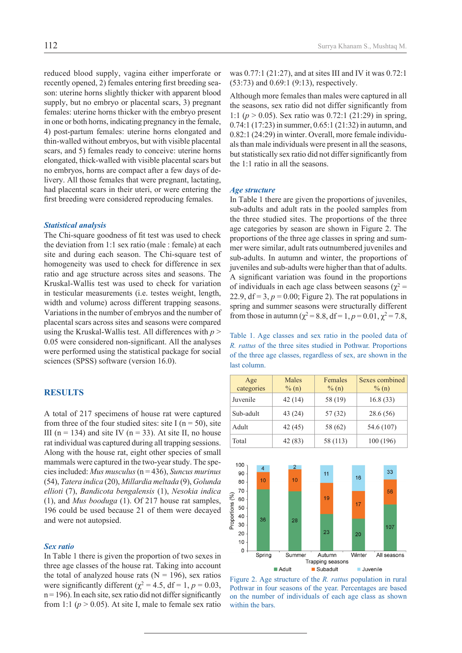reduced blood supply, vagina either imperforate or recently opened, 2) females entering first breeding season: uterine horns slightly thicker with apparent blood supply, but no embryo or placental scars, 3) pregnant females: uterine horns thicker with the embryo present in one or both horns, indicating pregnancy in the female, 4) post-partum females: uterine horns elongated and thin-walled without embryos, but with visible placental scars, and 5) females ready to conceive: uterine horns elongated, thick-walled with visible placental scars but no embryos, horns are compact after a few days of delivery. All those females that were pregnant, lactating, had placental scars in their uteri, or were entering the first breeding were considered reproducing females.

#### *Statistical analysis*

The Chi-square goodness of fit test was used to check the deviation from 1:1 sex ratio (male : female) at each site and during each season. The Chi-square test of homogeneity was used to check for difference in sex ratio and age structure across sites and seasons. The Kruskal-Wallis test was used to check for variation in testicular measurements (i.e. testes weight, length, width and volume) across different trapping seasons. Variations in the number of embryos and the number of placental scars across sites and seasons were compared using the Kruskal-Wallis test. All differences with *p* > 0.05 were considered non-significant. All the analyses were performed using the statistical package for social sciences (SPSS) software (version 16.0).

## **Results**

A total of 217 specimens of house rat were captured from three of the four studied sites: site I ( $n = 50$ ), site III ( $n = 134$ ) and site IV ( $n = 33$ ). At site II, no house rat individual was captured during all trapping sessions. Along with the house rat, eight other species of small mammals were captured in the two-year study. The species included: *Mus musculus* (n = 436), *Suncus murinus*  (54), *Tatera indica* (20), *Millardia meltada* (9), *Golunda ellioti* (7), *Bandicota bengalensis* (1), *Nesokia indica*  (1), and *Mus booduga* (1). Of 217 house rat samples, 196 could be used because 21 of them were decayed and were not autopsied.

## *Sex ratio*

In Table 1 there is given the proportion of two sexes in three age classes of the house rat. Taking into account the total of analyzed house rats  $(N = 196)$ , sex ratios were significantly different ( $\chi^2 = 4.5$ , df = 1, p = 0.03,  $n = 196$ ). In each site, sex ratio did not differ significantly from 1:1 ( $p > 0.05$ ). At site I, male to female sex ratio

was 0.77:1 (21:27), and at sites III and IV it was 0.72:1 (53:73) and 0.69:1 (9:13), respectively.

Although more females than males were captured in all the seasons, sex ratio did not differ significantly from 1:1 (*p* > 0.05). Sex ratio was 0.72:1 (21:29) in spring, 0.74:1 (17:23) in summer, 0.65:1 (21:32) in autumn, and 0.82:1 (24:29) in winter. Overall, more female individuals than male individuals were present in all the seasons, but statistically sex ratio did not differ significantly from the 1:1 ratio in all the seasons.

## *Age structure*

In Table 1 there are given the proportions of juveniles, sub-adults and adult rats in the pooled samples from the three studied sites. The proportions of the three age categories by season are shown in Figure 2. The proportions of the three age classes in spring and summer were similar, adult rats outnumbered juveniles and sub-adults. In autumn and winter, the proportions of juveniles and sub-adults were higher than that of adults. A significant variation was found in the proportions of individuals in each age class between seasons ( $\chi^2$  = 22.9,  $df = 3$ ,  $p = 0.00$ ; Figure 2). The rat populations in spring and summer seasons were structurally different from those in autumn ( $\chi^2 = 8.8$ , df = 1, p = 0.01,  $\chi^2 = 7.8$ ,

Table 1. Age classes and sex ratio in the pooled data of *R. rattus* of the three sites studied in Pothwar. Proportions of the three age classes, regardless of sex, are shown in the last column.

| Age<br>categories | Males<br>$\%$ (n) | Females<br>$\%$ (n) | Sexes combined<br>$\%$ (n) |
|-------------------|-------------------|---------------------|----------------------------|
| Juvenile          | 42(14)            | 58 (19)             | 16.8(33)                   |
| Sub-adult         | 43 (24)           | 57 (32)             | 28.6(56)                   |
| Adult             | 42(45)            | 58 (62)             | 54.6 (107)                 |
| Total             | 42 (83)           | 58 (113)            | 100 (196)                  |



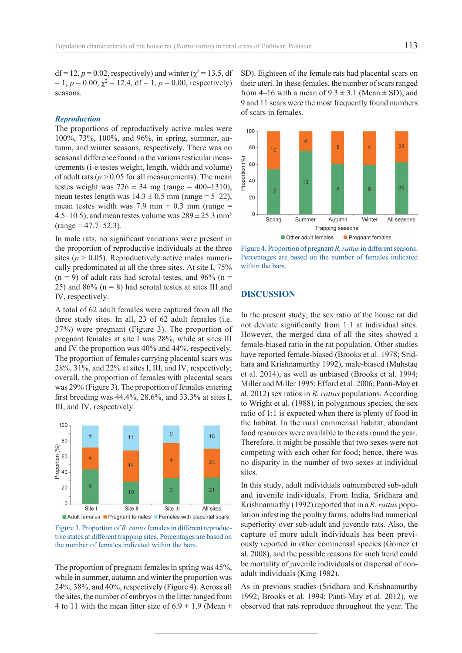df = 12,  $p = 0.02$ , respectively) and winter ( $\chi^2 = 13.5$ , df  $= 1, p = 0.00, \chi^2 = 12.4, df = 1, p = 0.00$ , respectively) seasons.

## *Reproduction*

The proportions of reproductively active males were 100%, 73%, 100%, and 96%, in spring, summer, autumn, and winter seasons, respectively. There was no seasonal difference found in the various testicular measurements (i-e testes weight, length, width and volume) of adult rats ( $p > 0.05$  for all measurements). The mean testes weight was  $726 \pm 34$  mg (range = 400–1310), mean testes length was  $14.3 \pm 0.5$  mm (range = 5–22), mean testes width was 7.9 mm  $\pm$  0.3 mm (range = 4.5–10.5), and mean testes volume was  $289 \pm 25.3$  mm<sup>3</sup>  $(range = 47.7 - 52.3).$ 

In male rats, no significant variations were present in the proportion of reproductive individuals at the three sites ( $p > 0.05$ ). Reproductively active males numerically predominated at all the three sites. At site I, 75%  $(n = 9)$  of adult rats had scrotal testes, and 96% (n = 25) and 86%  $(n = 8)$  had scrotal testes at sites III and IV, respectively.

A total of 62 adult females were captured from all the three study sites. In all, 23 of 62 adult females (i.e. 37%) were pregnant (Figure 3). The proportion of pregnant females at site I was 28%, while at sites III and IV the proportion was 40% and 44%, respectively. The proportion of females carrying placental scars was 28%, 31%, and 22% at sites I, III, and IV, respectively; overall, the proportion of females with placental scars was 29% (Figure 3). The proportion of females entering first breeding was 44.4%, 28.6%, and 33.3% at sites I, III, and IV, respectively.



Figure 3. Proportion of *R. rattus* females in different reproductive states at different trapping sites. Percentages are based on the number of females indicated within the bars.

The proportion of pregnant females in spring was 45%, while in summer, autumn and winter the proportion was 24%, 38%, and 40%, respectively (Figure 4). Across all the sites, the number of embryos in the litter ranged from 4 to 11 with the mean litter size of  $6.9 \pm 1.9$  (Mean  $\pm$  SD). Eighteen of the female rats had placental scars on their uteri. In these females, the number of scars ranged from 4–16 with a mean of  $9.3 \pm 3.1$  (Mean  $\pm$  SD), and 9 and 11 scars were the most frequently found numbers of scars in females.





## **Discussion**

In the present study, the sex ratio of the house rat did not deviate significantly from 1:1 at individual sites. However, the merged data of all the sites showed a female-biased ratio in the rat population. Other studies have reported female-biased (Brooks et al. 1978; Sridhara and Krishnamurthy 1992), male-biased (Muhstaq et al. 2014), as well as unbiased (Brooks et al. 1994; Miller and Miller 1995; Efford et al. 2006; Panti-May et al. 2012) sex ratios in *R. rattus* populations. According to Wright et al. (1988), in polygamous species, the sex ratio of 1:1 is expected when there is plenty of food in the habitat. In the rural commensal habitat, abundant food resources were available to the rats round the year. Therefore, it might be possible that two sexes were not competing with each other for food; hence, there was no disparity in the number of two sexes at individual **sites**.

In this study, adult individuals outnumbered sub-adult and juvenile individuals. From India, Sridhara and Krishnamurthy (1992) reported that in a *R. rattus* population infesting the poultry farms, adults had numerical superiority over sub-adult and juvenile rats. Also, the capture of more adult individuals has been previously reported in other commensal species (Gomez et al. 2008), and the possible reasons for such trend could be mortality of juvenile individuals or dispersal of nonadult individuals (King 1982).

As in previous studies (Sridhara and Krishnamurthy 1992; Brooks et al. 1994; Panti-May et al. 2012), we observed that rats reproduce throughout the year. The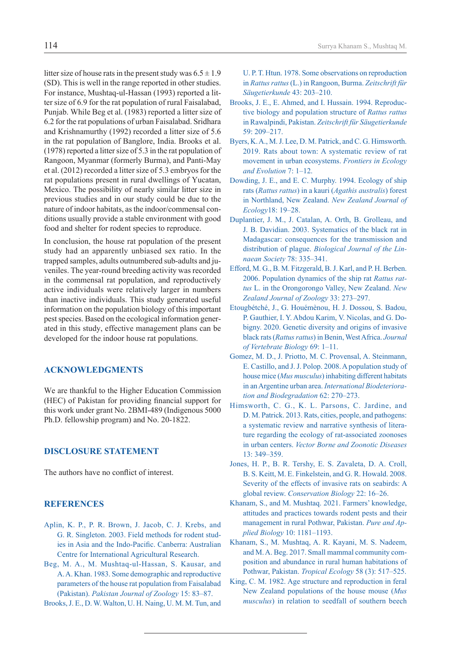litter size of house rats in the present study was  $6.5 \pm 1.9$ (SD). This is well in the range reported in other studies. For instance, Mushtaq-ul-Hassan (1993) reported a litter size of 6.9 for the rat population of rural Faisalabad, Punjab. While Beg et al. (1983) reported a litter size of 6.2 for the rat populations of urban Faisalabad. Sridhara and Krishnamurthy (1992) recorded a litter size of 5.6 in the rat population of Banglore, India. Brooks et al. (1978) reported a litter size of 5.3 in the rat population of Rangoon, Myanmar (formerly Burma), and Panti-May et al. (2012) recorded a litter size of 5.3 embryos for the rat populations present in rural dwellings of Yucatan, Mexico. The possibility of nearly similar litter size in previous studies and in our study could be due to the nature of indoor habitats, as the indoor/commensal conditions usually provide a stable environment with good food and shelter for rodent species to reproduce.

In conclusion, the house rat population of the present study had an apparently unbiased sex ratio. In the trapped samples, adults outnumbered sub-adults and juveniles. The year-round breeding activity was recorded in the commensal rat population, and reproductively active individuals were relatively larger in numbers than inactive individuals. This study generated useful information on the population biology of this important pest species. Based on the ecological information generated in this study, effective management plans can be developed for the indoor house rat populations.

# **Acknowledgments**

We are thankful to the Higher Education Commission (HEC) of Pakistan for providing financial support for this work under grant No. 2BMI-489 (Indigenous 5000 Ph.D. fellowship program) and No. 20-1822.

# **Disclosure statement**

The authors have no conflict of interest.

# **References**

- [Aplin, K. P., P. R. Brown, J. Jacob, C. J. Krebs, and](https://scholar.google.com/scholar?hl=lt&as_sdt=0%2C5&q=Aplin%2C+K.+P.%2C+P.+R.+Brown%2C+J.+Jacob%2C+C.+J.+Krebs%2C+and+G.+R.+Singleton.+2003.+Field+methods+for+rodent+studies+in+Asia+and+the+Indo-Pacific.+Canberra%3A+Australian+Centre+for+International+Agricultural+Research.&btnG=)  G. R. [Singleton. 2003. Field methods for rodent stud](https://scholar.google.com/scholar?hl=lt&as_sdt=0%2C5&q=Aplin%2C+K.+P.%2C+P.+R.+Brown%2C+J.+Jacob%2C+C.+J.+Krebs%2C+and+G.+R.+Singleton.+2003.+Field+methods+for+rodent+studies+in+Asia+and+the+Indo-Pacific.+Canberra%3A+Australian+Centre+for+International+Agricultural+Research.&btnG=)[ies in Asia and the Indo-Pacific](https://scholar.google.com/scholar?hl=lt&as_sdt=0%2C5&q=Aplin%2C+K.+P.%2C+P.+R.+Brown%2C+J.+Jacob%2C+C.+J.+Krebs%2C+and+G.+R.+Singleton.+2003.+Field+methods+for+rodent+studies+in+Asia+and+the+Indo-Pacific.+Canberra%3A+Australian+Centre+for+International+Agricultural+Research.&btnG=). Canberra: Australian [Centre for International Agricultural Research.](https://scholar.google.com/scholar?hl=lt&as_sdt=0%2C5&q=Aplin%2C+K.+P.%2C+P.+R.+Brown%2C+J.+Jacob%2C+C.+J.+Krebs%2C+and+G.+R.+Singleton.+2003.+Field+methods+for+rodent+studies+in+Asia+and+the+Indo-Pacific.+Canberra%3A+Australian+Centre+for+International+Agricultural+Research.&btnG=)
- Beg, M. A., M. Mushtaq-ul-Hassan, S. Kausar, and A.A. Khan. 1983. Some demographic and reproductive parameters of the house rat population from Faisalabad (Pakistan). *Pakistan Journal of Zoology* 15: 83–87.

[Brooks, J. E., D. W. Walton, U. H. Naing, U. M. M. Tun, and](https://scholar.google.com/scholar?hl=lt&as_sdt=0%2C5&q=Brooks%2C+J.+E.%2C+D.+W.+Walton%2C+U.+H.+Naing%2C+U.+M.+M.+Tun%2C+and+U.+P.+T.+Htun.+1978.+Some+observations+on+reproduction+in+Rattus+rattus+%28L.%29+in+Rangoon%2C+Burma.+Zeitschrift+f%C3%BCr+S%C3%A4ugetierkunde+43%3A+203%E2%80%93210.&btnG=) 

[U. P. T. Htun. 1978. Some observations on reproduction](https://scholar.google.com/scholar?hl=lt&as_sdt=0%2C5&q=Brooks%2C+J.+E.%2C+D.+W.+Walton%2C+U.+H.+Naing%2C+U.+M.+M.+Tun%2C+and+U.+P.+T.+Htun.+1978.+Some+observations+on+reproduction+in+Rattus+rattus+%28L.%29+in+Rangoon%2C+Burma.+Zeitschrift+f%C3%BCr+S%C3%A4ugetierkunde+43%3A+203%E2%80%93210.&btnG=) in *Rattus rattus* [\(L.\) in Rangoon, Burma.](https://scholar.google.com/scholar?hl=lt&as_sdt=0%2C5&q=Brooks%2C+J.+E.%2C+D.+W.+Walton%2C+U.+H.+Naing%2C+U.+M.+M.+Tun%2C+and+U.+P.+T.+Htun.+1978.+Some+observations+on+reproduction+in+Rattus+rattus+%28L.%29+in+Rangoon%2C+Burma.+Zeitschrift+f%C3%BCr+S%C3%A4ugetierkunde+43%3A+203%E2%80%93210.&btnG=) *Zeitschrift für [Säugetierkunde](https://scholar.google.com/scholar?hl=lt&as_sdt=0%2C5&q=Brooks%2C+J.+E.%2C+D.+W.+Walton%2C+U.+H.+Naing%2C+U.+M.+M.+Tun%2C+and+U.+P.+T.+Htun.+1978.+Some+observations+on+reproduction+in+Rattus+rattus+%28L.%29+in+Rangoon%2C+Burma.+Zeitschrift+f%C3%BCr+S%C3%A4ugetierkunde+43%3A+203%E2%80%93210.&btnG=)* 43: 203–210.

- [Brooks, J. E., E. Ahmed, and I. Hussain. 1994. Reproduc](https://scholar.google.com/scholar?hl=lt&as_sdt=0%2C5&q=Brooks%2C+J.+E.%2C+E.+Ahmed%2C+and+I.+Hussain.+1994.+Reproductive+biology+and+population+structure+of+Rattus+rattus+in+Rawalpindi%2C+Pakistan.+Zeitschrift+f%C3%BCr+S%C3%A4ugetierkunde+59%3A+209%E2%80%93217.&btnG=)[tive biology and population structure of](https://scholar.google.com/scholar?hl=lt&as_sdt=0%2C5&q=Brooks%2C+J.+E.%2C+E.+Ahmed%2C+and+I.+Hussain.+1994.+Reproductive+biology+and+population+structure+of+Rattus+rattus+in+Rawalpindi%2C+Pakistan.+Zeitschrift+f%C3%BCr+S%C3%A4ugetierkunde+59%3A+209%E2%80%93217.&btnG=) *Rattus rattus* in Rawalpindi, Pakistan. *[Zeitschrift für Säugetierkunde](https://scholar.google.com/scholar?hl=lt&as_sdt=0%2C5&q=Brooks%2C+J.+E.%2C+E.+Ahmed%2C+and+I.+Hussain.+1994.+Reproductive+biology+and+population+structure+of+Rattus+rattus+in+Rawalpindi%2C+Pakistan.+Zeitschrift+f%C3%BCr+S%C3%A4ugetierkunde+59%3A+209%E2%80%93217.&btnG=)* [59: 209–217.](https://scholar.google.com/scholar?hl=lt&as_sdt=0%2C5&q=Brooks%2C+J.+E.%2C+E.+Ahmed%2C+and+I.+Hussain.+1994.+Reproductive+biology+and+population+structure+of+Rattus+rattus+in+Rawalpindi%2C+Pakistan.+Zeitschrift+f%C3%BCr+S%C3%A4ugetierkunde+59%3A+209%E2%80%93217.&btnG=)
- [Byers, K. A., M. J. Lee, D. M. Patrick, and C. G. Himsworth.](https://scholar.google.com/scholar?hl=lt&as_sdt=0%2C5&q=Byers%2C+K.+A.%2C+M.+J.+Lee%2C+D.+M.+Patrick%2C+and+C.+G.+Himsworth.+2019.+Rats+about+Town%3A+A+Systematic+Review+of+Rat+Movement+in+Urban+Ecosystems.+Frontiers+in+Ecology+and+Evolution+7%3A+1%E2%80%9312.&btnG=) [2019. Rats about town: A systematic review of rat](https://scholar.google.com/scholar?hl=lt&as_sdt=0%2C5&q=Byers%2C+K.+A.%2C+M.+J.+Lee%2C+D.+M.+Patrick%2C+and+C.+G.+Himsworth.+2019.+Rats+about+Town%3A+A+Systematic+Review+of+Rat+Movement+in+Urban+Ecosystems.+Frontiers+in+Ecology+and+Evolution+7%3A+1%E2%80%9312.&btnG=) [movement in urban ecosystems.](https://scholar.google.com/scholar?hl=lt&as_sdt=0%2C5&q=Byers%2C+K.+A.%2C+M.+J.+Lee%2C+D.+M.+Patrick%2C+and+C.+G.+Himsworth.+2019.+Rats+about+Town%3A+A+Systematic+Review+of+Rat+Movement+in+Urban+Ecosystems.+Frontiers+in+Ecology+and+Evolution+7%3A+1%E2%80%9312.&btnG=) *Frontiers in Ecology [and Evolution](https://scholar.google.com/scholar?hl=lt&as_sdt=0%2C5&q=Byers%2C+K.+A.%2C+M.+J.+Lee%2C+D.+M.+Patrick%2C+and+C.+G.+Himsworth.+2019.+Rats+about+Town%3A+A+Systematic+Review+of+Rat+Movement+in+Urban+Ecosystems.+Frontiers+in+Ecology+and+Evolution+7%3A+1%E2%80%9312.&btnG=)* 7: 1–12.
- [Dowding, J. E., and E. C. Murphy. 1994. Ecology of ship](https://scholar.google.com/scholar?hl=lt&as_sdt=0%2C5&q=Dowding%2C+J.+E.%2C+and+E.+C.+Murphy.+1994.+Ecology+of+ship+rats+%28Rattus+rattus%29+in+a+kauri+%28Agathis+australis%29+forest+in+Northland%2C+New+Zealand.+New+Zealand+Journal+of+Ecology18%3A+19%E2%80%9328.&btnG=) rats (*Rattus rattus*) in a kauri (*[Agathis australis](https://scholar.google.com/scholar?hl=lt&as_sdt=0%2C5&q=Dowding%2C+J.+E.%2C+and+E.+C.+Murphy.+1994.+Ecology+of+ship+rats+%28Rattus+rattus%29+in+a+kauri+%28Agathis+australis%29+forest+in+Northland%2C+New+Zealand.+New+Zealand+Journal+of+Ecology18%3A+19%E2%80%9328.&btnG=)*) forest [in Northland, New Zealand.](https://scholar.google.com/scholar?hl=lt&as_sdt=0%2C5&q=Dowding%2C+J.+E.%2C+and+E.+C.+Murphy.+1994.+Ecology+of+ship+rats+%28Rattus+rattus%29+in+a+kauri+%28Agathis+australis%29+forest+in+Northland%2C+New+Zealand.+New+Zealand+Journal+of+Ecology18%3A+19%E2%80%9328.&btnG=) *New Zealand Journal of Ecology*[18: 19–28.](https://scholar.google.com/scholar?hl=lt&as_sdt=0%2C5&q=Dowding%2C+J.+E.%2C+and+E.+C.+Murphy.+1994.+Ecology+of+ship+rats+%28Rattus+rattus%29+in+a+kauri+%28Agathis+australis%29+forest+in+Northland%2C+New+Zealand.+New+Zealand+Journal+of+Ecology18%3A+19%E2%80%9328.&btnG=)
- [Duplantier, J. M., J. Catalan, A. Orth, B. Grolleau, and](https://scholar.google.com/scholar?hl=lt&as_sdt=0%2C5&q=Duplantier%2C+J.+M.%2C+J.+Catalan%2C+A.+Orth%2C+B.+Grolleau%2C+and+J.+B.+Davidian.+2003.+Systematics+of+the+black+rat+in+Madagascar%3A+consequences+for+the+transmission+and+distribution+of+plague.+Biological+Journal+of+the+Linnaean+Society+78%3A+335%E2%80%93341.&btnG=) [J. B. Davidian. 2003. Systematics of the black rat in](https://scholar.google.com/scholar?hl=lt&as_sdt=0%2C5&q=Duplantier%2C+J.+M.%2C+J.+Catalan%2C+A.+Orth%2C+B.+Grolleau%2C+and+J.+B.+Davidian.+2003.+Systematics+of+the+black+rat+in+Madagascar%3A+consequences+for+the+transmission+and+distribution+of+plague.+Biological+Journal+of+the+Linnaean+Society+78%3A+335%E2%80%93341.&btnG=) [Madagascar: consequences for the transmission and](https://scholar.google.com/scholar?hl=lt&as_sdt=0%2C5&q=Duplantier%2C+J.+M.%2C+J.+Catalan%2C+A.+Orth%2C+B.+Grolleau%2C+and+J.+B.+Davidian.+2003.+Systematics+of+the+black+rat+in+Madagascar%3A+consequences+for+the+transmission+and+distribution+of+plague.+Biological+Journal+of+the+Linnaean+Society+78%3A+335%E2%80%93341.&btnG=) distribution of plague. *[Biological Journal of the Lin](https://scholar.google.com/scholar?hl=lt&as_sdt=0%2C5&q=Duplantier%2C+J.+M.%2C+J.+Catalan%2C+A.+Orth%2C+B.+Grolleau%2C+and+J.+B.+Davidian.+2003.+Systematics+of+the+black+rat+in+Madagascar%3A+consequences+for+the+transmission+and+distribution+of+plague.+Biological+Journal+of+the+Linnaean+Society+78%3A+335%E2%80%93341.&btnG=)[naean Society](https://scholar.google.com/scholar?hl=lt&as_sdt=0%2C5&q=Duplantier%2C+J.+M.%2C+J.+Catalan%2C+A.+Orth%2C+B.+Grolleau%2C+and+J.+B.+Davidian.+2003.+Systematics+of+the+black+rat+in+Madagascar%3A+consequences+for+the+transmission+and+distribution+of+plague.+Biological+Journal+of+the+Linnaean+Society+78%3A+335%E2%80%93341.&btnG=)* 78: 335–341.
- [Efford, M. G., B. M. Fitzgerald, B. J. Karl, and P. H. Berben.](https://scholar.google.com/scholar?hl=lt&as_sdt=0%2C5&q=Efford%2C+M.+G.%2C+B.+M.+Fitzgerald%2C+B.+J.+Karl%2C+and+P.+H.+Berben.+2006.+Population+dynamics+of+the+ship+rat+Rattus+rattus+L.+in+the+Orongorongo+Valley%2C+New+Zealand.+New+Zealand+Journal+of+Zoology+33%3A+273%E2%80%93297.&btnG=) [2006. Population dynamics of the ship rat](https://scholar.google.com/scholar?hl=lt&as_sdt=0%2C5&q=Efford%2C+M.+G.%2C+B.+M.+Fitzgerald%2C+B.+J.+Karl%2C+and+P.+H.+Berben.+2006.+Population+dynamics+of+the+ship+rat+Rattus+rattus+L.+in+the+Orongorongo+Valley%2C+New+Zealand.+New+Zealand+Journal+of+Zoology+33%3A+273%E2%80%93297.&btnG=) *Rattus rattus* [L. in the Orongorongo Valley, New Zealand.](https://scholar.google.com/scholar?hl=lt&as_sdt=0%2C5&q=Efford%2C+M.+G.%2C+B.+M.+Fitzgerald%2C+B.+J.+Karl%2C+and+P.+H.+Berben.+2006.+Population+dynamics+of+the+ship+rat+Rattus+rattus+L.+in+the+Orongorongo+Valley%2C+New+Zealand.+New+Zealand+Journal+of+Zoology+33%3A+273%E2%80%93297.&btnG=) *New [Zealand Journal of Zoology](https://scholar.google.com/scholar?hl=lt&as_sdt=0%2C5&q=Efford%2C+M.+G.%2C+B.+M.+Fitzgerald%2C+B.+J.+Karl%2C+and+P.+H.+Berben.+2006.+Population+dynamics+of+the+ship+rat+Rattus+rattus+L.+in+the+Orongorongo+Valley%2C+New+Zealand.+New+Zealand+Journal+of+Zoology+33%3A+273%E2%80%93297.&btnG=)* 33: 273–297.
- [Etougbétché, J., G. Houémènou, H. J. Dossou, S. Badou,](https://scholar.google.com/scholar?hl=lt&as_sdt=0%2C5&q=Etougbetche%2C+J.%2C+G.+Houemenou%2C+H.+J.+Dossou%2C+S.+Badou%2C+P.+Gauthier%2C+I.+Y.+Abdou+Karim%2C+V.+Nicolas%2C+and+G.+Dobigny.+2020.+Genetic+diversity+and+origins+of+invasive+black+rats+%28Rattus+rattus%29+in+Benin%2C+West+Africa.+Journal+of+Vertebrate+Biology+69%3A+1%E2%80%9311.&btnG=) [P. Gauthier, I. Y. Abdou Karim, V.](https://scholar.google.com/scholar?hl=lt&as_sdt=0%2C5&q=Etougbetche%2C+J.%2C+G.+Houemenou%2C+H.+J.+Dossou%2C+S.+Badou%2C+P.+Gauthier%2C+I.+Y.+Abdou+Karim%2C+V.+Nicolas%2C+and+G.+Dobigny.+2020.+Genetic+diversity+and+origins+of+invasive+black+rats+%28Rattus+rattus%29+in+Benin%2C+West+Africa.+Journal+of+Vertebrate+Biology+69%3A+1%E2%80%9311.&btnG=) Nicolas, and G. Do[bigny. 2020. Genetic diversity and origins of invasive](https://scholar.google.com/scholar?hl=lt&as_sdt=0%2C5&q=Etougbetche%2C+J.%2C+G.+Houemenou%2C+H.+J.+Dossou%2C+S.+Badou%2C+P.+Gauthier%2C+I.+Y.+Abdou+Karim%2C+V.+Nicolas%2C+and+G.+Dobigny.+2020.+Genetic+diversity+and+origins+of+invasive+black+rats+%28Rattus+rattus%29+in+Benin%2C+West+Africa.+Journal+of+Vertebrate+Biology+69%3A+1%E2%80%9311.&btnG=) black rats (*Rattus rattus*[\) in Benin, West Africa.](https://scholar.google.com/scholar?hl=lt&as_sdt=0%2C5&q=Etougbetche%2C+J.%2C+G.+Houemenou%2C+H.+J.+Dossou%2C+S.+Badou%2C+P.+Gauthier%2C+I.+Y.+Abdou+Karim%2C+V.+Nicolas%2C+and+G.+Dobigny.+2020.+Genetic+diversity+and+origins+of+invasive+black+rats+%28Rattus+rattus%29+in+Benin%2C+West+Africa.+Journal+of+Vertebrate+Biology+69%3A+1%E2%80%9311.&btnG=) *Journal [of Vertebrate Biology](https://scholar.google.com/scholar?hl=lt&as_sdt=0%2C5&q=Etougbetche%2C+J.%2C+G.+Houemenou%2C+H.+J.+Dossou%2C+S.+Badou%2C+P.+Gauthier%2C+I.+Y.+Abdou+Karim%2C+V.+Nicolas%2C+and+G.+Dobigny.+2020.+Genetic+diversity+and+origins+of+invasive+black+rats+%28Rattus+rattus%29+in+Benin%2C+West+Africa.+Journal+of+Vertebrate+Biology+69%3A+1%E2%80%9311.&btnG=)* 69: 1–11.
- [Gomez, M. D., J. Priotto, M. C. Provensal, A. Steinmann,](https://scholar.google.com/scholar?hl=lt&as_sdt=0%2C5&q=Gomez%2C+M.+D.%2C+J.+Priotto%2C+M.+C.+Provensal%2C+A.+Steinmann%2C+E.+Castillo%2C+and+J.+J.+Polop.+2008.+A+population+study+of+house+mice+%28Mus+musculus%29+inhabiting+different+habitats+in+an+Argentine+urban+area.+International+Biodeterioration+and+Biodegradation+62%3A+270%E2%80%93273.&btnG=) [E. Castillo, and J. J. Polop. 2008. A population study of](https://scholar.google.com/scholar?hl=lt&as_sdt=0%2C5&q=Gomez%2C+M.+D.%2C+J.+Priotto%2C+M.+C.+Provensal%2C+A.+Steinmann%2C+E.+Castillo%2C+and+J.+J.+Polop.+2008.+A+population+study+of+house+mice+%28Mus+musculus%29+inhabiting+different+habitats+in+an+Argentine+urban+area.+International+Biodeterioration+and+Biodegradation+62%3A+270%E2%80%93273.&btnG=) house mice (*Mus musculus*[\) inhabiting different habitats](https://scholar.google.com/scholar?hl=lt&as_sdt=0%2C5&q=Gomez%2C+M.+D.%2C+J.+Priotto%2C+M.+C.+Provensal%2C+A.+Steinmann%2C+E.+Castillo%2C+and+J.+J.+Polop.+2008.+A+population+study+of+house+mice+%28Mus+musculus%29+inhabiting+different+habitats+in+an+Argentine+urban+area.+International+Biodeterioration+and+Biodegradation+62%3A+270%E2%80%93273.&btnG=) in an Argentine urban area. *[International Biodeteriora](https://scholar.google.com/scholar?hl=lt&as_sdt=0%2C5&q=Gomez%2C+M.+D.%2C+J.+Priotto%2C+M.+C.+Provensal%2C+A.+Steinmann%2C+E.+Castillo%2C+and+J.+J.+Polop.+2008.+A+population+study+of+house+mice+%28Mus+musculus%29+inhabiting+different+habitats+in+an+Argentine+urban+area.+International+Biodeterioration+and+Biodegradation+62%3A+270%E2%80%93273.&btnG=)[tion and Biodegradation](https://scholar.google.com/scholar?hl=lt&as_sdt=0%2C5&q=Gomez%2C+M.+D.%2C+J.+Priotto%2C+M.+C.+Provensal%2C+A.+Steinmann%2C+E.+Castillo%2C+and+J.+J.+Polop.+2008.+A+population+study+of+house+mice+%28Mus+musculus%29+inhabiting+different+habitats+in+an+Argentine+urban+area.+International+Biodeterioration+and+Biodegradation+62%3A+270%E2%80%93273.&btnG=)* 62: 270–273.
- [Himsworth, C. G., K. L. Parsons, C. Jardine, and](https://scholar.google.com/scholar?hl=lt&as_sdt=0%2C5&q=Himsworth%2C+C.+G.%2C+K.+L.+Parsons%2C+C.+Jardine%2C+and+D.+M.+Patrick.+2013.+Rats%2C+cities%2C+people%2C+and+pathogens%3A+a+systematic+review+and+narrative+synthesis+of+literature+regarding+the+ecology+of+rat-associated+zoonoses+in+urban+centers.+Vector+Borne+and+Zoonotic+Diseases+13%3A+349%E2%80%93359.&btnG=) D. M. [Patrick. 2013. Rats, cities, people, and pathogens:](https://scholar.google.com/scholar?hl=lt&as_sdt=0%2C5&q=Himsworth%2C+C.+G.%2C+K.+L.+Parsons%2C+C.+Jardine%2C+and+D.+M.+Patrick.+2013.+Rats%2C+cities%2C+people%2C+and+pathogens%3A+a+systematic+review+and+narrative+synthesis+of+literature+regarding+the+ecology+of+rat-associated+zoonoses+in+urban+centers.+Vector+Borne+and+Zoonotic+Diseases+13%3A+349%E2%80%93359.&btnG=) [a systematic review and narrative synthesis of litera](https://scholar.google.com/scholar?hl=lt&as_sdt=0%2C5&q=Himsworth%2C+C.+G.%2C+K.+L.+Parsons%2C+C.+Jardine%2C+and+D.+M.+Patrick.+2013.+Rats%2C+cities%2C+people%2C+and+pathogens%3A+a+systematic+review+and+narrative+synthesis+of+literature+regarding+the+ecology+of+rat-associated+zoonoses+in+urban+centers.+Vector+Borne+and+Zoonotic+Diseases+13%3A+349%E2%80%93359.&btnG=)[ture regarding the ecology of rat-associated zoonoses](https://scholar.google.com/scholar?hl=lt&as_sdt=0%2C5&q=Himsworth%2C+C.+G.%2C+K.+L.+Parsons%2C+C.+Jardine%2C+and+D.+M.+Patrick.+2013.+Rats%2C+cities%2C+people%2C+and+pathogens%3A+a+systematic+review+and+narrative+synthesis+of+literature+regarding+the+ecology+of+rat-associated+zoonoses+in+urban+centers.+Vector+Borne+and+Zoonotic+Diseases+13%3A+349%E2%80%93359.&btnG=) in urban centers. *[Vector Borne and Zoonotic Diseases](https://scholar.google.com/scholar?hl=lt&as_sdt=0%2C5&q=Himsworth%2C+C.+G.%2C+K.+L.+Parsons%2C+C.+Jardine%2C+and+D.+M.+Patrick.+2013.+Rats%2C+cities%2C+people%2C+and+pathogens%3A+a+systematic+review+and+narrative+synthesis+of+literature+regarding+the+ecology+of+rat-associated+zoonoses+in+urban+centers.+Vector+Borne+and+Zoonotic+Diseases+13%3A+349%E2%80%93359.&btnG=)* [13: 349–359.](https://scholar.google.com/scholar?hl=lt&as_sdt=0%2C5&q=Himsworth%2C+C.+G.%2C+K.+L.+Parsons%2C+C.+Jardine%2C+and+D.+M.+Patrick.+2013.+Rats%2C+cities%2C+people%2C+and+pathogens%3A+a+systematic+review+and+narrative+synthesis+of+literature+regarding+the+ecology+of+rat-associated+zoonoses+in+urban+centers.+Vector+Borne+and+Zoonotic+Diseases+13%3A+349%E2%80%93359.&btnG=)
- [Jones, H. P., B. R. Tershy, E. S. Zavaleta, D. A. Croll,](https://scholar.google.com/scholar?hl=lt&as_sdt=0%2C5&q=Jones%2C+H.+P.%2C+B.+R.+Tershy%2C+E.+S.+Zavaleta%2C+D.+A.+Croll%2C+B.+S.+Keitt%2C+M.+E.+Finkelstein%2C+and+G.+R.+Howald.+2008.+Severity+of+the+effects+of+invasive+rats+on+seabirds%3A+A+global+review.+Conservation+Biology+22%3A+16%E2%80%9326.&btnG=) B. S. [Keitt, M. E. Finkelstein, and G.](https://scholar.google.com/scholar?hl=lt&as_sdt=0%2C5&q=Jones%2C+H.+P.%2C+B.+R.+Tershy%2C+E.+S.+Zavaleta%2C+D.+A.+Croll%2C+B.+S.+Keitt%2C+M.+E.+Finkelstein%2C+and+G.+R.+Howald.+2008.+Severity+of+the+effects+of+invasive+rats+on+seabirds%3A+A+global+review.+Conservation+Biology+22%3A+16%E2%80%9326.&btnG=) R. Howald. 2008. [Severity of the effects of invasive rats on seabirds: A](https://scholar.google.com/scholar?hl=lt&as_sdt=0%2C5&q=Jones%2C+H.+P.%2C+B.+R.+Tershy%2C+E.+S.+Zavaleta%2C+D.+A.+Croll%2C+B.+S.+Keitt%2C+M.+E.+Finkelstein%2C+and+G.+R.+Howald.+2008.+Severity+of+the+effects+of+invasive+rats+on+seabirds%3A+A+global+review.+Conservation+Biology+22%3A+16%E2%80%9326.&btnG=) global review. *[Conservation Biology](https://scholar.google.com/scholar?hl=lt&as_sdt=0%2C5&q=Jones%2C+H.+P.%2C+B.+R.+Tershy%2C+E.+S.+Zavaleta%2C+D.+A.+Croll%2C+B.+S.+Keitt%2C+M.+E.+Finkelstein%2C+and+G.+R.+Howald.+2008.+Severity+of+the+effects+of+invasive+rats+on+seabirds%3A+A+global+review.+Conservation+Biology+22%3A+16%E2%80%9326.&btnG=)* 22: 16–26.
- [Khanam, S., and M. Mushtaq. 2021. Farmers' knowledge,](https://scholar.google.com/scholar?hl=lt&as_sdt=0%2C5&q=Khanam%2C+S.%2C+and+M.+Mushtaq.+2021.+Farmers%E2%80%99+knowledge%2C+attitudes+and+practices+towards+rodent+pests+and+their+management+in+rural+Pothwar%2C+Pakistan.+Pure+and+Applied+Biology+10%3A+1181%E2%80%931193.&btnG=) [attitudes and practices towards rodent pests and their](https://scholar.google.com/scholar?hl=lt&as_sdt=0%2C5&q=Khanam%2C+S.%2C+and+M.+Mushtaq.+2021.+Farmers%E2%80%99+knowledge%2C+attitudes+and+practices+towards+rodent+pests+and+their+management+in+rural+Pothwar%2C+Pakistan.+Pure+and+Applied+Biology+10%3A+1181%E2%80%931193.&btnG=) [management in rural Pothwar, Pakistan.](https://scholar.google.com/scholar?hl=lt&as_sdt=0%2C5&q=Khanam%2C+S.%2C+and+M.+Mushtaq.+2021.+Farmers%E2%80%99+knowledge%2C+attitudes+and+practices+towards+rodent+pests+and+their+management+in+rural+Pothwar%2C+Pakistan.+Pure+and+Applied+Biology+10%3A+1181%E2%80%931193.&btnG=) *Pure and Applied Biology* [10: 1181–1193.](https://scholar.google.com/scholar?hl=lt&as_sdt=0%2C5&q=Khanam%2C+S.%2C+and+M.+Mushtaq.+2021.+Farmers%E2%80%99+knowledge%2C+attitudes+and+practices+towards+rodent+pests+and+their+management+in+rural+Pothwar%2C+Pakistan.+Pure+and+Applied+Biology+10%3A+1181%E2%80%931193.&btnG=)
- [Khanam, S., M. Mushtaq, A. R. Kayani, M. S. Nadeem,](https://scholar.google.com/scholar?hl=lt&as_sdt=0%2C5&q=Khanam%2C+S.%2C+M.+Mushtaq%2C+A.+R.+Kayani%2C+M.+S.+Nadeem%2C+and+M.+A.+Beg.+2017.+Small+mammal+community+composition+and+abundance+in+rural+human+habitations+of+Pothwar%2C+Pakistan.+Tropical+Ecology+58+%283%29%3A+517%E2%80%93525.&btnG=) [and M. A. Beg. 2017. Small mammal community com](https://scholar.google.com/scholar?hl=lt&as_sdt=0%2C5&q=Khanam%2C+S.%2C+M.+Mushtaq%2C+A.+R.+Kayani%2C+M.+S.+Nadeem%2C+and+M.+A.+Beg.+2017.+Small+mammal+community+composition+and+abundance+in+rural+human+habitations+of+Pothwar%2C+Pakistan.+Tropical+Ecology+58+%283%29%3A+517%E2%80%93525.&btnG=)[position and abundance in rural human habitations of](https://scholar.google.com/scholar?hl=lt&as_sdt=0%2C5&q=Khanam%2C+S.%2C+M.+Mushtaq%2C+A.+R.+Kayani%2C+M.+S.+Nadeem%2C+and+M.+A.+Beg.+2017.+Small+mammal+community+composition+and+abundance+in+rural+human+habitations+of+Pothwar%2C+Pakistan.+Tropical+Ecology+58+%283%29%3A+517%E2%80%93525.&btnG=) [Pothwar, Pakistan.](https://scholar.google.com/scholar?hl=lt&as_sdt=0%2C5&q=Khanam%2C+S.%2C+M.+Mushtaq%2C+A.+R.+Kayani%2C+M.+S.+Nadeem%2C+and+M.+A.+Beg.+2017.+Small+mammal+community+composition+and+abundance+in+rural+human+habitations+of+Pothwar%2C+Pakistan.+Tropical+Ecology+58+%283%29%3A+517%E2%80%93525.&btnG=) *Tropical Ecology* 58 (3): 517–525.
- [King, C. M. 1982. Age structure and reproduction in feral](https://scholar.google.com/scholar?hl=lt&as_sdt=0%2C5&q=King%2C+C.+M.+1982.+Age+structure+and+reproduction+in+feral+New+Zealand+populations+of+the+house+mouse+%28Mus+musculus%29+in+relation+to+seedfall+of+southern+beech+%28Nothofagus%29.+New+Zealand+Journal+of+Zoology+9%3A+467%E2%80%93480.&btnG=) [New Zealand populations of the house mouse \(](https://scholar.google.com/scholar?hl=lt&as_sdt=0%2C5&q=King%2C+C.+M.+1982.+Age+structure+and+reproduction+in+feral+New+Zealand+populations+of+the+house+mouse+%28Mus+musculus%29+in+relation+to+seedfall+of+southern+beech+%28Nothofagus%29.+New+Zealand+Journal+of+Zoology+9%3A+467%E2%80%93480.&btnG=)*Mus musculus*[\) in relation to seedfall of southern beech](https://scholar.google.com/scholar?hl=lt&as_sdt=0%2C5&q=King%2C+C.+M.+1982.+Age+structure+and+reproduction+in+feral+New+Zealand+populations+of+the+house+mouse+%28Mus+musculus%29+in+relation+to+seedfall+of+southern+beech+%28Nothofagus%29.+New+Zealand+Journal+of+Zoology+9%3A+467%E2%80%93480.&btnG=)